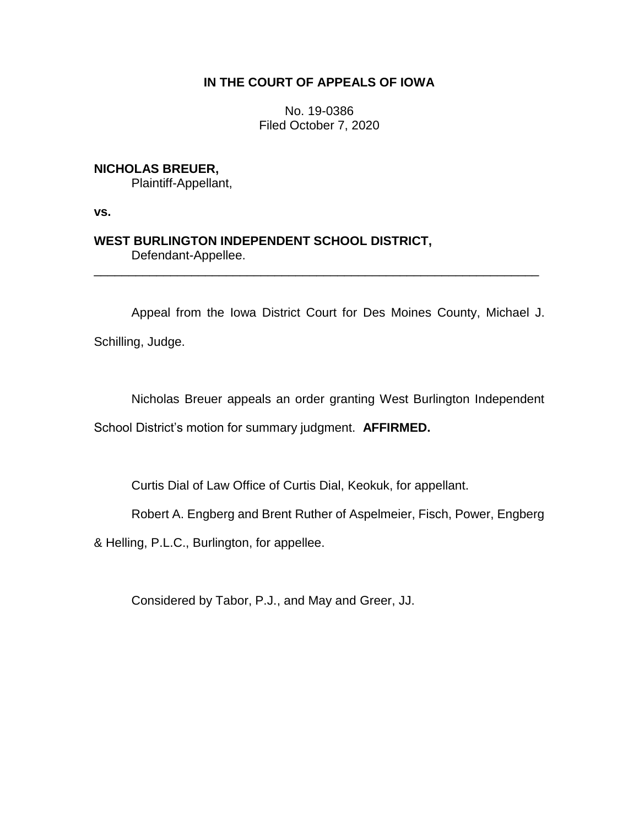## **IN THE COURT OF APPEALS OF IOWA**

No. 19-0386 Filed October 7, 2020

## **NICHOLAS BREUER,**

Plaintiff-Appellant,

**vs.**

# **WEST BURLINGTON INDEPENDENT SCHOOL DISTRICT,** Defendant-Appellee.

Appeal from the Iowa District Court for Des Moines County, Michael J.

\_\_\_\_\_\_\_\_\_\_\_\_\_\_\_\_\_\_\_\_\_\_\_\_\_\_\_\_\_\_\_\_\_\_\_\_\_\_\_\_\_\_\_\_\_\_\_\_\_\_\_\_\_\_\_\_\_\_\_\_\_\_\_\_

Schilling, Judge.

Nicholas Breuer appeals an order granting West Burlington Independent

School District's motion for summary judgment. **AFFIRMED.** 

Curtis Dial of Law Office of Curtis Dial, Keokuk, for appellant.

Robert A. Engberg and Brent Ruther of Aspelmeier, Fisch, Power, Engberg

& Helling, P.L.C., Burlington, for appellee.

Considered by Tabor, P.J., and May and Greer, JJ.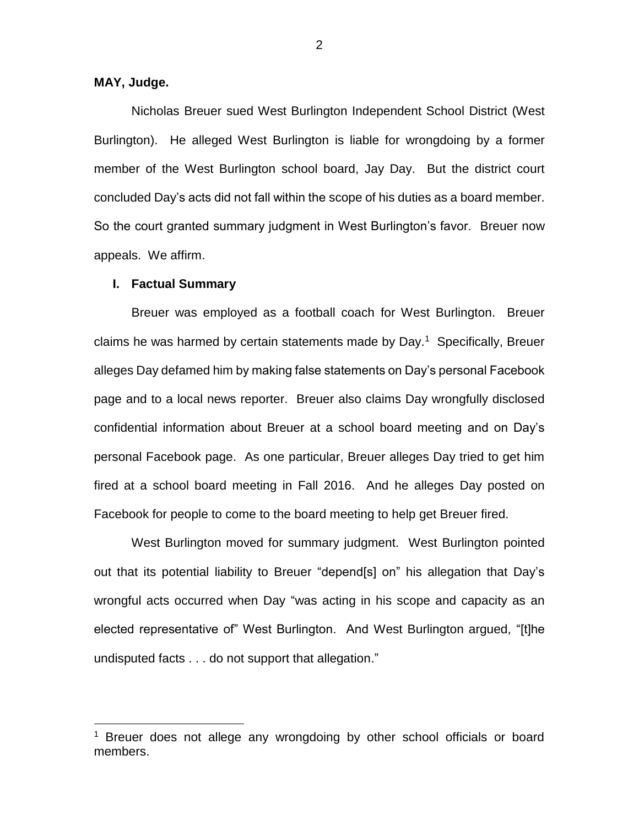### **MAY, Judge.**

 $\overline{a}$ 

Nicholas Breuer sued West Burlington Independent School District (West Burlington). He alleged West Burlington is liable for wrongdoing by a former member of the West Burlington school board, Jay Day. But the district court concluded Day's acts did not fall within the scope of his duties as a board member. So the court granted summary judgment in West Burlington's favor. Breuer now appeals. We affirm.

#### **I. Factual Summary**

Breuer was employed as a football coach for West Burlington. Breuer claims he was harmed by certain statements made by Day.<sup>1</sup> Specifically, Breuer alleges Day defamed him by making false statements on Day's personal Facebook page and to a local news reporter. Breuer also claims Day wrongfully disclosed confidential information about Breuer at a school board meeting and on Day's personal Facebook page. As one particular, Breuer alleges Day tried to get him fired at a school board meeting in Fall 2016. And he alleges Day posted on Facebook for people to come to the board meeting to help get Breuer fired.

West Burlington moved for summary judgment. West Burlington pointed out that its potential liability to Breuer "depend[s] on" his allegation that Day's wrongful acts occurred when Day "was acting in his scope and capacity as an elected representative of" West Burlington. And West Burlington argued, "[t]he undisputed facts . . . do not support that allegation."

<sup>&</sup>lt;sup>1</sup> Breuer does not allege any wrongdoing by other school officials or board members.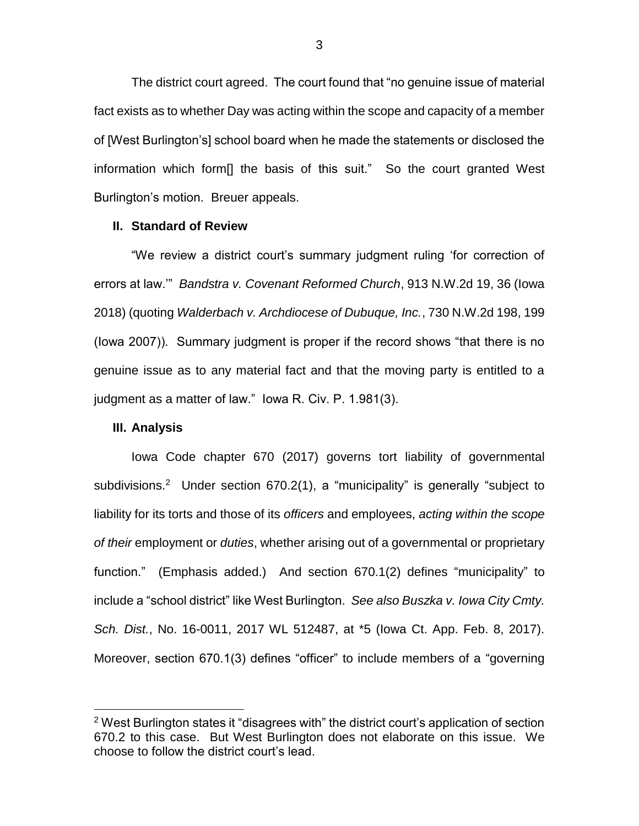The district court agreed. The court found that "no genuine issue of material fact exists as to whether Day was acting within the scope and capacity of a member of [West Burlington's] school board when he made the statements or disclosed the information which form[] the basis of this suit." So the court granted West Burlington's motion. Breuer appeals.

#### **II. Standard of Review**

"We review a district court's summary judgment ruling 'for correction of errors at law.'" *Bandstra v. Covenant Reformed Church*, 913 N.W.2d 19, 36 (Iowa 2018) (quoting *Walderbach v. Archdiocese of Dubuque, Inc.*, 730 N.W.2d 198, 199 (Iowa 2007)). Summary judgment is proper if the record shows "that there is no genuine issue as to any material fact and that the moving party is entitled to a judgment as a matter of law." Iowa R. Civ. P. 1.981(3).

#### **III. Analysis**

 $\overline{a}$ 

Iowa Code chapter 670 (2017) governs tort liability of governmental subdivisions.<sup>2</sup> Under section 670.2(1), a "municipality" is generally "subject to liability for its torts and those of its *officers* and employees, *acting within the scope of their* employment or *duties*, whether arising out of a governmental or proprietary function." (Emphasis added.) And section 670.1(2) defines "municipality" to include a "school district" like West Burlington. *See also Buszka v. Iowa City Cmty. Sch. Dist.*, No. 16-0011, 2017 WL 512487, at \*5 (Iowa Ct. App. Feb. 8, 2017). Moreover, section 670.1(3) defines "officer" to include members of a "governing

<sup>&</sup>lt;sup>2</sup> West Burlington states it "disagrees with" the district court's application of section 670.2 to this case. But West Burlington does not elaborate on this issue. We choose to follow the district court's lead.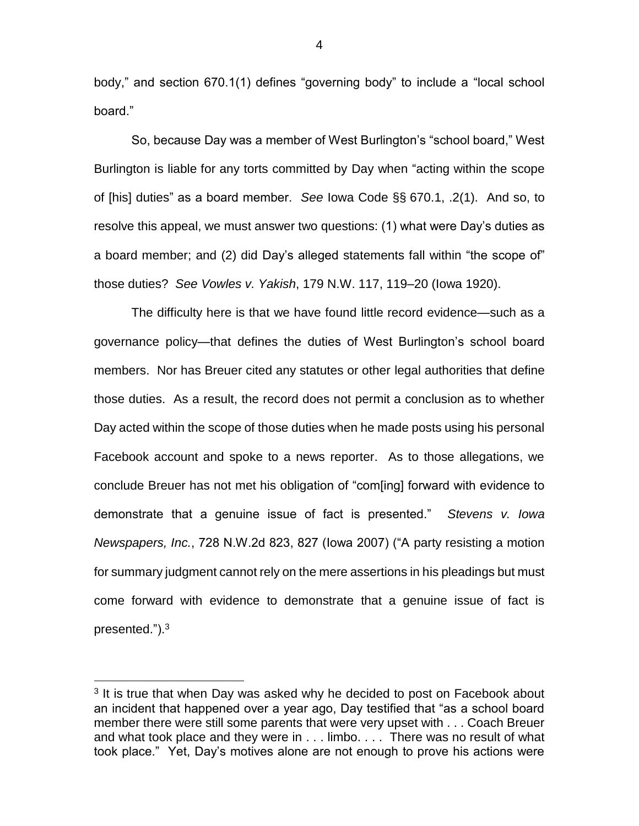body," and section 670.1(1) defines "governing body" to include a "local school board."

So, because Day was a member of West Burlington's "school board," West Burlington is liable for any torts committed by Day when "acting within the scope of [his] duties" as a board member. *See* Iowa Code §§ 670.1, .2(1). And so, to resolve this appeal, we must answer two questions: (1) what were Day's duties as a board member; and (2) did Day's alleged statements fall within "the scope of" those duties? *See Vowles v. Yakish*, 179 N.W. 117, 119–20 (Iowa 1920).

The difficulty here is that we have found little record evidence—such as a governance policy—that defines the duties of West Burlington's school board members. Nor has Breuer cited any statutes or other legal authorities that define those duties. As a result, the record does not permit a conclusion as to whether Day acted within the scope of those duties when he made posts using his personal Facebook account and spoke to a news reporter. As to those allegations, we conclude Breuer has not met his obligation of "com[ing] forward with evidence to demonstrate that a genuine issue of fact is presented." *Stevens v. Iowa Newspapers, Inc.*, 728 N.W.2d 823, 827 (Iowa 2007) ("A party resisting a motion for summary judgment cannot rely on the mere assertions in his pleadings but must come forward with evidence to demonstrate that a genuine issue of fact is presented.").<sup>3</sup>

 $\overline{a}$ 

<sup>&</sup>lt;sup>3</sup> It is true that when Day was asked why he decided to post on Facebook about an incident that happened over a year ago, Day testified that "as a school board member there were still some parents that were very upset with . . . Coach Breuer and what took place and they were in . . . limbo. . . . There was no result of what took place." Yet, Day's motives alone are not enough to prove his actions were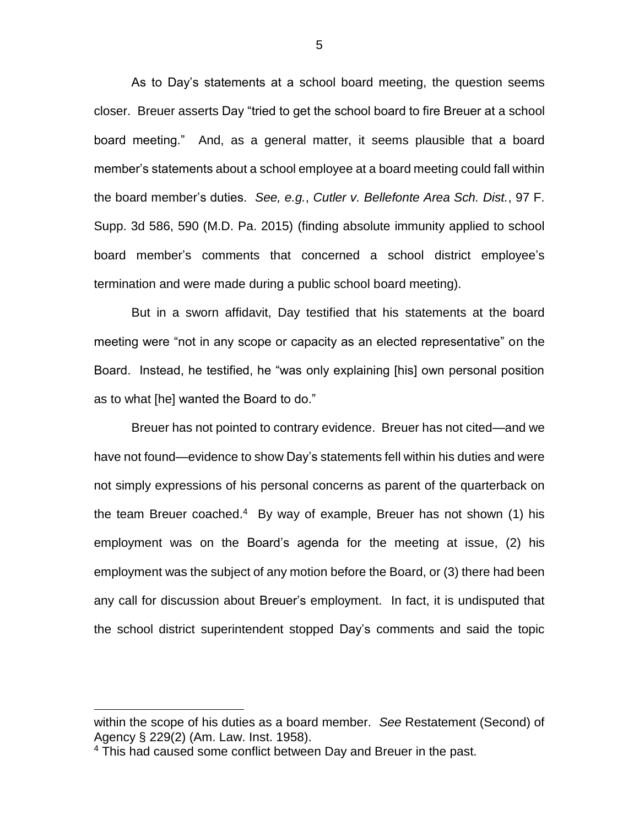As to Day's statements at a school board meeting, the question seems closer. Breuer asserts Day "tried to get the school board to fire Breuer at a school board meeting." And, as a general matter, it seems plausible that a board member's statements about a school employee at a board meeting could fall within the board member's duties. *See, e.g.*, *Cutler v. Bellefonte Area Sch. Dist.*, 97 F. Supp. 3d 586, 590 (M.D. Pa. 2015) (finding absolute immunity applied to school board member's comments that concerned a school district employee's termination and were made during a public school board meeting).

But in a sworn affidavit, Day testified that his statements at the board meeting were "not in any scope or capacity as an elected representative" on the Board. Instead, he testified, he "was only explaining [his] own personal position as to what [he] wanted the Board to do."

Breuer has not pointed to contrary evidence. Breuer has not cited—and we have not found—evidence to show Day's statements fell within his duties and were not simply expressions of his personal concerns as parent of the quarterback on the team Breuer coached.<sup>4</sup> By way of example, Breuer has not shown (1) his employment was on the Board's agenda for the meeting at issue, (2) his employment was the subject of any motion before the Board, or (3) there had been any call for discussion about Breuer's employment. In fact, it is undisputed that the school district superintendent stopped Day's comments and said the topic

 $\overline{a}$ 

within the scope of his duties as a board member. *See* Restatement (Second) of Agency § 229(2) (Am. Law. Inst. 1958).

<sup>&</sup>lt;sup>4</sup> This had caused some conflict between Day and Breuer in the past.